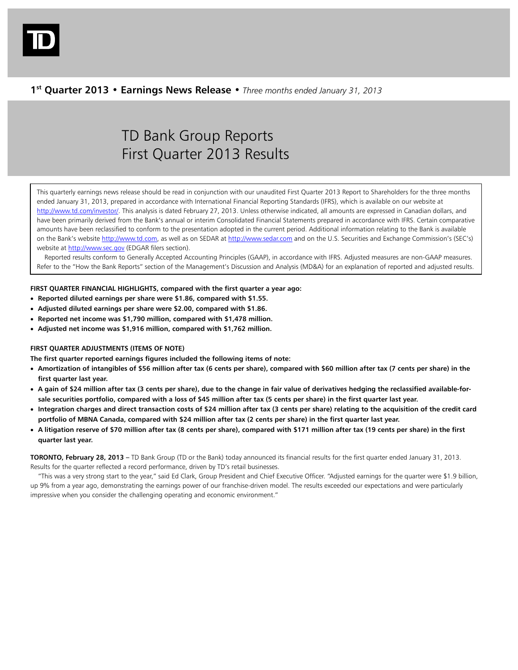# **1st Quarter 2013 • Earnings News Release •** *Three months ended January 31, 2013*

# TD Bank Group Reports First Quarter 2013 Results

This quarterly earnings news release should be read in conjunction with our unaudited First Quarter 2013 Report to Shareholders for the three months ended January 31, 2013, prepared in accordance with International Financial Reporting Standards (IFRS), which is available on our website at http://www.td.com/investor/. This analysis is dated February 27, 2013. Unless otherwise indicated, all amounts are expressed in Canadian dollars, and have been primarily derived from the Bank's annual or interim Consolidated Financial Statements prepared in accordance with IFRS. Certain comparative amounts have been reclassified to conform to the presentation adopted in the current period. Additional information relating to the Bank is available on the Bank's website http://www.td.com, as well as on SEDAR at http://www.sedar.com and on the U.S. Securities and Exchange Commission's (SEC's) website at http://www.sec.gov (EDGAR filers section).

 Reported results conform to Generally Accepted Accounting Principles (GAAP), in accordance with IFRS. Adjusted measures are non-GAAP measures. Refer to the "How the Bank Reports" section of the Management's Discussion and Analysis (MD&A) for an explanation of reported and adjusted results.

# **FIRST QUARTER FINANCIAL HIGHLIGHTS, compared with the first quarter a year ago:**

- **Reported diluted earnings per share were \$1.86, compared with \$1.55.**
- **Adjusted diluted earnings per share were \$2.00, compared with \$1.86.**
- **Reported net income was \$1,790 million, compared with \$1,478 million.**
- **Adjusted net income was \$1,916 million, compared with \$1,762 million.**

#### **FIRST QUARTER ADJUSTMENTS (ITEMS OF NOTE)**

**The first quarter reported earnings figures included the following items of note:** 

- **Amortization of intangibles of \$56 million after tax (6 cents per share), compared with \$60 million after tax (7 cents per share) in the first quarter last year.**
- **A gain of \$24 million after tax (3 cents per share), due to the change in fair value of derivatives hedging the reclassified available-forsale securities portfolio, compared with a loss of \$45 million after tax (5 cents per share) in the first quarter last year.**
- **Integration charges and direct transaction costs of \$24 million after tax (3 cents per share) relating to the acquisition of the credit card portfolio of MBNA Canada, compared with \$24 million after tax (2 cents per share) in the first quarter last year.**
- **A litigation reserve of \$70 million after tax (8 cents per share), compared with \$171 million after tax (19 cents per share) in the first quarter last year.**

**TORONTO, February 28, 2013 –** TD Bank Group (TD or the Bank) today announced its financial results for the first quarter ended January 31, 2013. Results for the quarter reflected a record performance, driven by TD's retail businesses.

 "This was a very strong start to the year," said Ed Clark, Group President and Chief Executive Officer. "Adjusted earnings for the quarter were \$1.9 billion, up 9% from a year ago, demonstrating the earnings power of our franchise-driven model. The results exceeded our expectations and were particularly impressive when you consider the challenging operating and economic environment."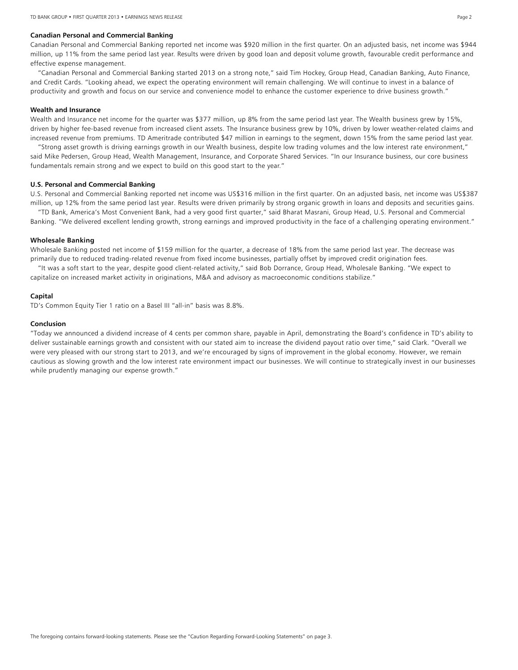#### **Canadian Personal and Commercial Banking**

Canadian Personal and Commercial Banking reported net income was \$920 million in the first quarter. On an adjusted basis, net income was \$944 million, up 11% from the same period last year. Results were driven by good loan and deposit volume growth, favourable credit performance and effective expense management.

 "Canadian Personal and Commercial Banking started 2013 on a strong note," said Tim Hockey, Group Head, Canadian Banking, Auto Finance, and Credit Cards. "Looking ahead, we expect the operating environment will remain challenging. We will continue to invest in a balance of productivity and growth and focus on our service and convenience model to enhance the customer experience to drive business growth."

#### **Wealth and Insurance**

Wealth and Insurance net income for the quarter was \$377 million, up 8% from the same period last year. The Wealth business grew by 15%, driven by higher fee-based revenue from increased client assets. The Insurance business grew by 10%, driven by lower weather-related claims and increased revenue from premiums. TD Ameritrade contributed \$47 million in earnings to the segment, down 15% from the same period last year.

 "Strong asset growth is driving earnings growth in our Wealth business, despite low trading volumes and the low interest rate environment," said Mike Pedersen, Group Head, Wealth Management, Insurance, and Corporate Shared Services. "In our Insurance business, our core business fundamentals remain strong and we expect to build on this good start to the year."

#### **U.S. Personal and Commercial Banking**

U.S. Personal and Commercial Banking reported net income was US\$316 million in the first quarter. On an adjusted basis, net income was US\$387 million, up 12% from the same period last year. Results were driven primarily by strong organic growth in loans and deposits and securities gains. "TD Bank, America's Most Convenient Bank, had a very good first quarter," said Bharat Masrani, Group Head, U.S. Personal and Commercial

Banking. "We delivered excellent lending growth, strong earnings and improved productivity in the face of a challenging operating environment."

#### **Wholesale Banking**

Wholesale Banking posted net income of \$159 million for the quarter, a decrease of 18% from the same period last year. The decrease was primarily due to reduced trading-related revenue from fixed income businesses, partially offset by improved credit origination fees.

 "It was a soft start to the year, despite good client-related activity," said Bob Dorrance, Group Head, Wholesale Banking. "We expect to capitalize on increased market activity in originations, M&A and advisory as macroeconomic conditions stabilize."

#### **Capital**

TD's Common Equity Tier 1 ratio on a Basel III "all-in" basis was 8.8%.

### **Conclusion**

"Today we announced a dividend increase of 4 cents per common share, payable in April, demonstrating the Board's confidence in TD's ability to deliver sustainable earnings growth and consistent with our stated aim to increase the dividend payout ratio over time," said Clark. "Overall we were very pleased with our strong start to 2013, and we're encouraged by signs of improvement in the global economy. However, we remain cautious as slowing growth and the low interest rate environment impact our businesses. We will continue to strategically invest in our businesses while prudently managing our expense growth."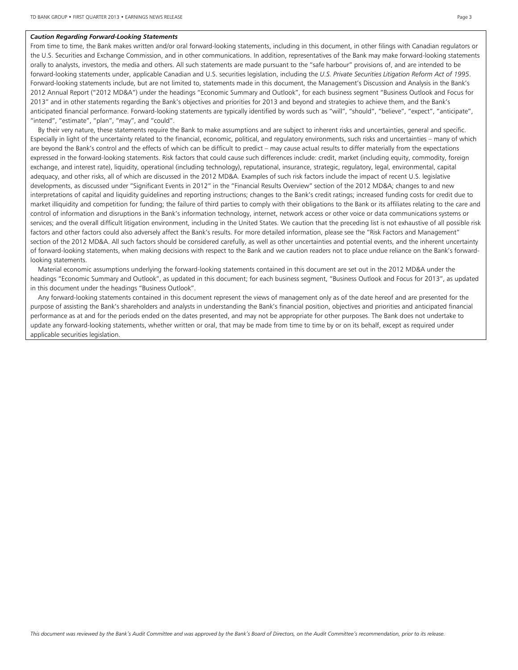#### *Caution Regarding Forward-Looking Statements*

From time to time, the Bank makes written and/or oral forward-looking statements, including in this document, in other filings with Canadian regulators or the U.S. Securities and Exchange Commission, and in other communications. In addition, representatives of the Bank may make forward-looking statements orally to analysts, investors, the media and others. All such statements are made pursuant to the "safe harbour" provisions of, and are intended to be forward-looking statements under, applicable Canadian and U.S. securities legislation, including the *U.S. Private Securities Litigation Reform Act of 1995*. Forward-looking statements include, but are not limited to, statements made in this document, the Management's Discussion and Analysis in the Bank's 2012 Annual Report ("2012 MD&A") under the headings "Economic Summary and Outlook", for each business segment "Business Outlook and Focus for 2013" and in other statements regarding the Bank's objectives and priorities for 2013 and beyond and strategies to achieve them, and the Bank's anticipated financial performance. Forward-looking statements are typically identified by words such as "will", "should", "believe", "expect", "anticipate", "intend", "estimate", "plan", "may", and "could".

 By their very nature, these statements require the Bank to make assumptions and are subject to inherent risks and uncertainties, general and specific. Especially in light of the uncertainty related to the financial, economic, political, and regulatory environments, such risks and uncertainties – many of which are beyond the Bank's control and the effects of which can be difficult to predict – may cause actual results to differ materially from the expectations expressed in the forward-looking statements. Risk factors that could cause such differences include: credit, market (including equity, commodity, foreign exchange, and interest rate), liquidity, operational (including technology), reputational, insurance, strategic, regulatory, legal, environmental, capital adequacy, and other risks, all of which are discussed in the 2012 MD&A. Examples of such risk factors include the impact of recent U.S. legislative developments, as discussed under "Significant Events in 2012" in the "Financial Results Overview" section of the 2012 MD&A; changes to and new interpretations of capital and liquidity guidelines and reporting instructions; changes to the Bank's credit ratings; increased funding costs for credit due to market illiquidity and competition for funding; the failure of third parties to comply with their obligations to the Bank or its affiliates relating to the care and control of information and disruptions in the Bank's information technology, internet, network access or other voice or data communications systems or services; and the overall difficult litigation environment, including in the United States. We caution that the preceding list is not exhaustive of all possible risk factors and other factors could also adversely affect the Bank's results. For more detailed information, please see the "Risk Factors and Management" section of the 2012 MD&A. All such factors should be considered carefully, as well as other uncertainties and potential events, and the inherent uncertainty of forward-looking statements, when making decisions with respect to the Bank and we caution readers not to place undue reliance on the Bank's forwardlooking statements.

 Material economic assumptions underlying the forward-looking statements contained in this document are set out in the 2012 MD&A under the headings "Economic Summary and Outlook", as updated in this document; for each business segment, "Business Outlook and Focus for 2013", as updated in this document under the headings "Business Outlook".

 Any forward-looking statements contained in this document represent the views of management only as of the date hereof and are presented for the purpose of assisting the Bank's shareholders and analysts in understanding the Bank's financial position, objectives and priorities and anticipated financial performance as at and for the periods ended on the dates presented, and may not be appropriate for other purposes. The Bank does not undertake to update any forward-looking statements, whether written or oral, that may be made from time to time by or on its behalf, except as required under applicable securities legislation.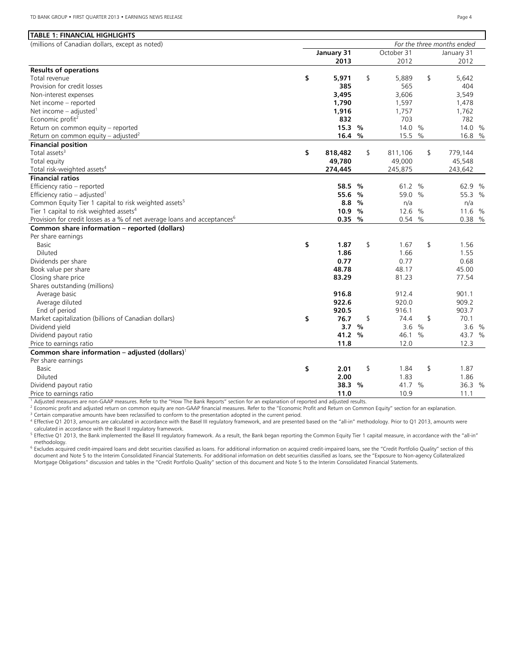| <b>TABLE 1: FINANCIAL HIGHLIGHTS</b>                                                 |               |               |            |      |                            |  |
|--------------------------------------------------------------------------------------|---------------|---------------|------------|------|----------------------------|--|
| (millions of Canadian dollars, except as noted)                                      |               |               |            |      | For the three months ended |  |
|                                                                                      | January 31    |               | October 31 |      | January 31                 |  |
|                                                                                      | 2013          |               | 2012       |      | 2012                       |  |
| <b>Results of operations</b>                                                         |               |               |            |      |                            |  |
| Total revenue                                                                        | \$<br>5,971   | \$            | 5,889      | \$   | 5,642                      |  |
| Provision for credit losses                                                          | 385           |               | 565        |      | 404                        |  |
| Non-interest expenses                                                                | 3,495         |               | 3,606      |      | 3,549                      |  |
| Net income - reported                                                                | 1,790         |               | 1,597      |      | 1,478                      |  |
| Net income $-$ adjusted <sup>1</sup>                                                 | 1,916         |               | 1,757      |      | 1,762                      |  |
| Economic profit <sup>2</sup>                                                         | 832           |               | 703        |      | 782                        |  |
| Return on common equity - reported                                                   | 15.3          | $\%$          | 14.0       | %    | 14.0 %                     |  |
| Return on common equity – adjusted <sup>2</sup>                                      | 16.4 %        |               | 15.5       | %    | 16.8 %                     |  |
| <b>Financial position</b>                                                            |               |               |            |      |                            |  |
| Total assets <sup>3</sup>                                                            | \$<br>818,482 | \$            | 811,106    | \$   | 779,144                    |  |
| Total equity                                                                         | 49,780        |               | 49,000     |      | 45,548                     |  |
| Total risk-weighted assets <sup>4</sup>                                              | 274,445       |               | 245,875    |      | 243,642                    |  |
| <b>Financial ratios</b>                                                              |               |               |            |      |                            |  |
| Efficiency ratio - reported                                                          | 58.5          | $\%$          | 61.2       | %    | 62.9 %                     |  |
| Efficiency ratio - adjusted <sup>1</sup>                                             | 55.6          | $\%$          | 59.0       | $\%$ | 55.3 %                     |  |
| Common Equity Tier 1 capital to risk weighted assets <sup>5</sup>                    | 8.8 %         |               | n/a        |      | n/a                        |  |
| Tier 1 capital to risk weighted assets <sup>4</sup>                                  | 10.9 %        |               | 12.6 %     |      | 11.6 %                     |  |
| Provision for credit losses as a % of net average loans and acceptances <sup>6</sup> | 0.35 %        |               | 0.54%      |      | 0.38 %                     |  |
| Common share information - reported (dollars)                                        |               |               |            |      |                            |  |
| Per share earnings                                                                   |               |               |            |      |                            |  |
| <b>Basic</b>                                                                         | \$<br>1.87    | \$            | 1.67       | \$   | 1.56                       |  |
| Diluted                                                                              | 1.86          |               | 1.66       |      | 1.55                       |  |
| Dividends per share                                                                  | 0.77          |               | 0.77       |      | 0.68                       |  |
| Book value per share                                                                 | 48.78         |               | 48.17      |      | 45.00                      |  |
| Closing share price                                                                  | 83.29         |               | 81.23      |      | 77.54                      |  |
| Shares outstanding (millions)                                                        |               |               |            |      |                            |  |
| Average basic                                                                        | 916.8         |               | 912.4      |      | 901.1                      |  |
| Average diluted                                                                      | 922.6         |               | 920.0      |      | 909.2                      |  |
| End of period                                                                        | 920.5         |               | 916.1      |      | 903.7                      |  |
| Market capitalization (billions of Canadian dollars)                                 | \$<br>76.7    | \$            | 74.4       | \$   | 70.1                       |  |
| Dividend yield                                                                       | 3.7           | $\frac{0}{0}$ | 3.6 %      |      | 3.6%                       |  |
| Dividend payout ratio                                                                | 41.2 %        |               | 46.1 %     |      | 43.7 %                     |  |
| Price to earnings ratio                                                              | 11.8          |               | 12.0       |      | 12.3                       |  |
| Common share information - adjusted (dollars) <sup>1</sup>                           |               |               |            |      |                            |  |
| Per share earnings                                                                   |               |               |            |      |                            |  |
| <b>Basic</b>                                                                         | \$<br>2.01    | \$            | 1.84       | \$   | 1.87                       |  |
| Diluted                                                                              | 2.00          |               | 1.83       |      | 1.86                       |  |
| Dividend payout ratio                                                                | 38.3          | $\%$          | 41.7 %     |      | 36.3 %                     |  |
| Price to earnings ratio                                                              | 11.0          |               | 10.9       |      | 11.1                       |  |

 $\frac{1}{2}$  Adjusted measures are non-GAAP measures. Refer to the "How The Bank Reports" section for an explanation of reported and adjusted results.<br><sup>2</sup> Economic profit and adjusted return on common equity are non-GAAP fin

<sup>3</sup> Certain comparative amounts have been reclassified to conform to the presentation adopted in the current period.

4 Effective Q1 2013, amounts are calculated in accordance with the Basel III regulatory framework, and are presented based on the "all-in" methodology. Prior to Q1 2013, amounts were calculated in accordance with the Basel II regulatory framework.

<sup>5</sup> Effective Q1 2013, the Bank implemented the Basel III regulatory framework. As a result, the Bank began reporting the Common Equity Tier 1 capital measure, in accordance with the "all-in" methodology.

<sup>6</sup> Excludes acquired credit-impaired loans and debt securities classified as loans. For additional information on acquired credit-impaired loans, see the "Credit Portfolio Quality" section of this document and Note 5 to the Interim Consolidated Financial Statements. For additional information on debt securities classified as loans, see the "Exposure to Non-agency Collateralized Mortgage Obligations" discussion and tables in the "Credit Portfolio Quality" section of this document and Note 5 to the Interim Consolidated Financial Statements.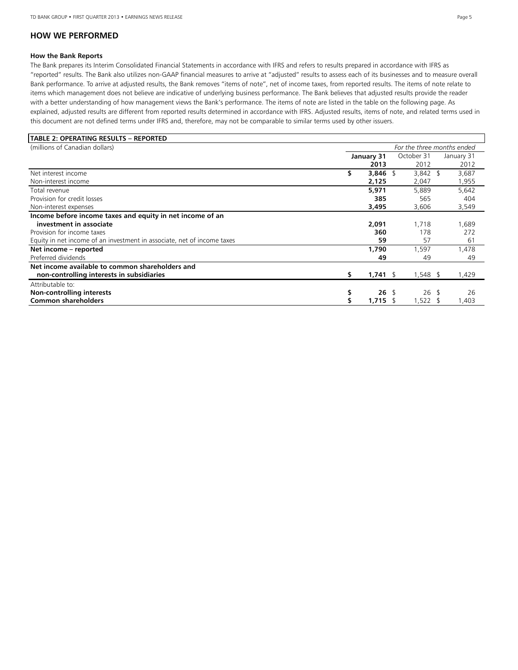# **HOW WE PERFORMED**

# **How the Bank Reports**

The Bank prepares its Interim Consolidated Financial Statements in accordance with IFRS and refers to results prepared in accordance with IFRS as "reported" results. The Bank also utilizes non-GAAP financial measures to arrive at "adjusted" results to assess each of its businesses and to measure overall Bank performance. To arrive at adjusted results, the Bank removes "items of note", net of income taxes, from reported results. The items of note relate to items which management does not believe are indicative of underlying business performance. The Bank believes that adjusted results provide the reader with a better understanding of how management views the Bank's performance. The items of note are listed in the table on the following page. As explained, adjusted results are different from reported results determined in accordance with IFRS. Adjusted results, items of note, and related terms used in this document are not defined terms under IFRS and, therefore, may not be comparable to similar terms used by other issuers.

| TABLE 2: OPERATING RESULTS - REPORTED                                   |                            |            |  |            |     |            |  |  |  |  |
|-------------------------------------------------------------------------|----------------------------|------------|--|------------|-----|------------|--|--|--|--|
| (millions of Canadian dollars)                                          | For the three months ended |            |  |            |     |            |  |  |  |  |
|                                                                         |                            | January 31 |  | October 31 |     | January 31 |  |  |  |  |
|                                                                         |                            | 2013       |  | 2012       |     | 2012       |  |  |  |  |
| Net interest income                                                     | \$                         | 3,846      |  | $3,842$ \$ |     | 3,687      |  |  |  |  |
| Non-interest income                                                     |                            | 2,125      |  | 2,047      |     | 1,955      |  |  |  |  |
| Total revenue                                                           |                            | 5,971      |  | 5,889      |     | 5,642      |  |  |  |  |
| Provision for credit losses                                             |                            | 385        |  | 565        |     | 404        |  |  |  |  |
| Non-interest expenses                                                   |                            | 3,495      |  | 3,606      |     | 3,549      |  |  |  |  |
| Income before income taxes and equity in net income of an               |                            |            |  |            |     |            |  |  |  |  |
| investment in associate                                                 |                            | 2,091      |  | 1.718      |     | 1,689      |  |  |  |  |
| Provision for income taxes                                              |                            | 360        |  | 178        |     | 272        |  |  |  |  |
| Equity in net income of an investment in associate, net of income taxes |                            | 59         |  | 57         |     | 61         |  |  |  |  |
| Net income - reported                                                   |                            | 1,790      |  | 1,597      |     | 1,478      |  |  |  |  |
| Preferred dividends                                                     |                            | 49         |  | 49         |     | 49         |  |  |  |  |
| Net income available to common shareholders and                         |                            |            |  |            |     |            |  |  |  |  |
| non-controlling interests in subsidiaries                               | S                          | $1,741$ \$ |  | $1,548$ \$ |     | 1,429      |  |  |  |  |
| Attributable to:                                                        |                            |            |  |            |     |            |  |  |  |  |
| <b>Non-controlling interests</b>                                        |                            | $26 \quad$ |  | 26         | -\$ | 26         |  |  |  |  |
| <b>Common shareholders</b>                                              |                            | 1.715      |  | 1,522      |     | 1,403      |  |  |  |  |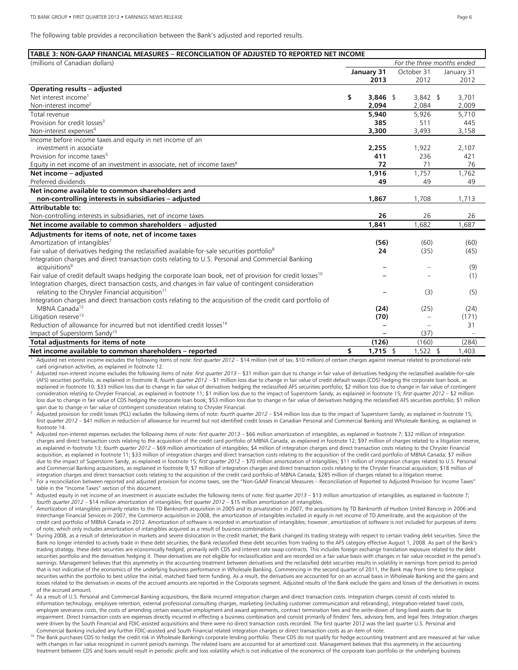#### **TABLE 3: NON-GAAP FINANCIAL MEASURES – RECONCILIATION OF ADJUSTED TO REPORTED NET INCOME**

| (millions of Canadian dollars)                                                                                                                                                                 |                        |  |            | For the three months ended |
|------------------------------------------------------------------------------------------------------------------------------------------------------------------------------------------------|------------------------|--|------------|----------------------------|
|                                                                                                                                                                                                | January 31             |  | October 31 | January 31                 |
|                                                                                                                                                                                                | 2013                   |  | 2012       | 2012                       |
| Operating results - adjusted                                                                                                                                                                   |                        |  |            |                            |
| Net interest income <sup>1</sup>                                                                                                                                                               | \$<br>3,846 $\sqrt{5}$ |  | $3,842$ \$ | 3,701                      |
| Non-interest income <sup>2</sup>                                                                                                                                                               | 2,094                  |  | 2,084      | 2,009                      |
| Total revenue                                                                                                                                                                                  | 5,940                  |  | 5,926      | 5,710                      |
| Provision for credit losses <sup>3</sup>                                                                                                                                                       | 385                    |  | 511        | 445                        |
| Non-interest expenses <sup>4</sup>                                                                                                                                                             | 3,300                  |  | 3,493      | 3,158                      |
| Income before income taxes and equity in net income of an                                                                                                                                      |                        |  |            |                            |
| investment in associate                                                                                                                                                                        | 2,255                  |  | 1,922      | 2,107                      |
| Provision for income taxes <sup>5</sup>                                                                                                                                                        | 411                    |  | 236        | 421                        |
| Equity in net income of an investment in associate, net of income taxes <sup>6</sup>                                                                                                           | 72                     |  | 71         | 76                         |
| Net income - adjusted                                                                                                                                                                          | 1,916                  |  | 1,757      | 1,762                      |
| Preferred dividends                                                                                                                                                                            | 49                     |  | 49         | 49                         |
| Net income available to common shareholders and                                                                                                                                                |                        |  |            |                            |
| non-controlling interests in subsidiaries - adjusted                                                                                                                                           | 1,867                  |  | 1,708      | 1,713                      |
| Attributable to:                                                                                                                                                                               |                        |  |            |                            |
| Non-controlling interests in subsidiaries, net of income taxes                                                                                                                                 | 26                     |  | 26         | 26                         |
| Net income available to common shareholders - adjusted                                                                                                                                         | 1,841                  |  | 1,682      | 1.687                      |
| Adjustments for items of note, net of income taxes                                                                                                                                             |                        |  |            |                            |
| Amortization of intangibles <sup>7</sup>                                                                                                                                                       | (56)                   |  | (60)       | (60)                       |
| Fair value of derivatives hedging the reclassified available-for-sale securities portfolio <sup>8</sup>                                                                                        | 24                     |  | (35)       | (45)                       |
| Integration charges and direct transaction costs relating to U.S. Personal and Commercial Banking                                                                                              |                        |  |            |                            |
| acquisitions <sup>9</sup>                                                                                                                                                                      |                        |  |            | (9)                        |
| Fair value of credit default swaps hedging the corporate loan book, net of provision for credit losses <sup>10</sup>                                                                           |                        |  |            | (1)                        |
| Integration charges, direct transaction costs, and changes in fair value of contingent consideration                                                                                           |                        |  |            |                            |
| relating to the Chrysler Financial acquisition <sup>11</sup>                                                                                                                                   |                        |  | (3)        | (5)                        |
| Integration charges and direct transaction costs relating to the acquisition of the credit card portfolio of                                                                                   |                        |  |            |                            |
| MBNA Canada <sup>12</sup>                                                                                                                                                                      | (24)                   |  | (25)       | (24)                       |
| Litigation reserve <sup>13</sup>                                                                                                                                                               | (70)                   |  |            | (171)                      |
| Reduction of allowance for incurred but not identified credit losses <sup>14</sup>                                                                                                             |                        |  |            | 31                         |
| Impact of Superstorm Sandy <sup>15</sup>                                                                                                                                                       |                        |  | (37)       |                            |
| Total adjustments for items of note                                                                                                                                                            | (126)                  |  | (160)      | (284)                      |
| Net income available to common shareholders - reported                                                                                                                                         | \$<br>$1.715$ \$       |  | $1,522$ \$ | 1.403                      |
| Adjusted net interest income excludes the following items of note: first quarter 2012 - \$14 million (net of tax, \$10 million) of certain charges against revenue related to promotional-rate |                        |  |            |                            |

Adjusted net interest income excludes the following items of note: first quarter 2012 – \$14 million (net of tax, \$10 million) of certain charges against revenue related to promotional-rate card origination activities, as explained in footnote 12.

2 Adjusted non-interest income excludes the following items of note: *first quarter 2013* – \$31 million gain due to change in fair value of derivatives hedging the reclassified available-for-sale (AFS) securities portfolio, as explained in footnote 8; *fourth quarter 2012* – \$1 million loss due to change in fair value of credit default swaps (CDS) hedging the corporate loan book, as explained in footnote 10; \$33 million loss due to change in fair value of derivatives hedging the reclassified AFS securities portfolio; \$2 million loss due to change in fair value of contingent consideration relating to Chrysler Financial, as explained in footnote 11; \$1 million loss due to the impact of Superstorm Sandy, as explained in footnote 15; *first quarter 2012 –* \$2 million loss due to change in fair value of CDS hedging the corporate loan book; \$53 million loss due to change in fair value of derivatives hedging the reclassified AFS securities portfolio; \$1 million

gain due to change in fair value of contingent consideration relating to Chrysler Financial.<br>Adjusted provision for credit losses (PCL) excludes the following items of note: fourth quarter 2012 – \$54 million loss due to th first quarter 2012 – \$41 million in reduction of allowance for incurred but not identified credit losses in Canadian Personal and Commercial Banking and Wholesale Banking, as explained in

- footnote 14.<br>Adjusted non-interest expenses excludes the following items of note: *first quarter 2013* \$66 million amortization of intangibles, as explained in footnote 7; \$32 million of integration charges and direct transaction costs relating to the acquisition of the credit card portfolio of MBNA Canada, as explained in footnote 12; \$97 million of charges related to a litigation reserve, as explained in footnote 13; *fourth quarter 2012* - \$69 million amortization of intangibles; \$4 million of integration charges and direct transaction costs relating to the Chrysler Financial acquisition, as explained in footnote 11; \$33 million of integration charges and direct transaction costs relating to the acquisition of the credit card portfolio of MBNA Canada; \$7 million due to the impact of Superstorm Sandy, as explained in footnote 15; *first quarter 2012* – \$70 million amortization of intangibles; \$11 million of integration charges related to U.S. Personal and Commercial Banking acquisitions, as explained in footnote 9; \$7 million of integration charges and direct transaction costs relating to the Chrysler Financial acquisition; \$18 million of integration charges and direct transaction costs relating to the acquisition of the credit card portfolio of MBNA Canada; \$285 million of charges related to a litigation reserve.<br>For a reconciliation between reported and a
- 
- table in the "Income Taxes" section of this document.<br>Adjusted equity in net income of an investment in associate excludes the following items of note: *first quarter 2013* \$13 million amortization of intangibles, as exp
- Amortization of intangibles primarily relates to the TD Banknorth acquisition in 2005 and its privatization in 2007, the acquisitions by TD Banknorth of Hudson United Bancorp in 2006 and Interchange Financial Services in 2007, the Commerce acquisition in 2008, the amortization of intangibles included in equity in net income of TD Ameritrade, and the acquisition of the credit card portfolio of MBNA Canada in 2012. Amortization of software is recorded in amortization of intangibles; however, amortization of software is not included for purposes of items<br>of note, which only includes amorti
- During 2008, as a result of deterioration in markets and severe dislocation in the credit market, the Bank changed its trading strategy with respect to certain trading debt securities. Since the Bank no longer intended to actively trade in these debt securities, the Bank reclassified these debt securities from trading to the AFS category effective August 1, 2008. As part of the Bank's trading strategy, these debt securities are economically hedged, primarily with CDS and interest rate swap contracts. This includes foreign exchange translation exposure related to the debt securities portfolio and the derivatives hedging it. These derivatives are not eligible for reclassification and are recorded on a fair value basis with changes in fair value recorded in the period's earnings. Management believes that this asymmetry in the accounting treatment between derivatives and the reclassified debt securities results in volatility in earnings from period to period that is not indicative of the economics of the underlying business performance in Wholesale Banking. Commencing in the second quarter of 2011, the Bank may from time to time replace securities within the portfolio to best utilize the initial, matched fixed term funding. As a result, the derivatives are accounted for on an accrual basis in Wholesale Banking and the gains and losses related to the derivatives in excess of the accrued amounts are reported in the Corporate segment. Adjusted results of the Bank exclude the gains and losses of the derivatives in excess of the accrued amount.<br>As a result of U.S. Personal and Commercial Banking acquisitions, the Bank incurred integration charges that ansaction costs. Integration charges consist of costs related to
- information technology, employee retention, external professional consulting charges, marketing (including customer communication and rebranding), integration-related travel costs, employee severance costs, the costs of amending certain executive employment and award agreements, contract termination fees and the write-down of long-lived assets due to impairment. Direct transaction costs are expenses directly incurred in effecting a business combination and consist primarily of finders' fees, advisory fees, and legal fees. Integration charges were driven by the South Financial and FDIC-assisted acquisitions and there were no direct transaction costs recorded. The first quarter 2012 was the last quarter U.S. Personal and
- Commercial Banking included any further FDIC-assisted and South Financial related integration charges or direct transaction costs as an item of note.<br>The Bank purchases CDS to hedge the credit risk in Wholesale Banking's c with changes in fair value recognized in current period's earnings. The related loans are accounted for at amortized cost. Management believes that this asymmetry in the accounting treatment between CDS and loans would result in periodic profit and loss volatility which is not indicative of the economics of the corporate loan portfolio or the underlying business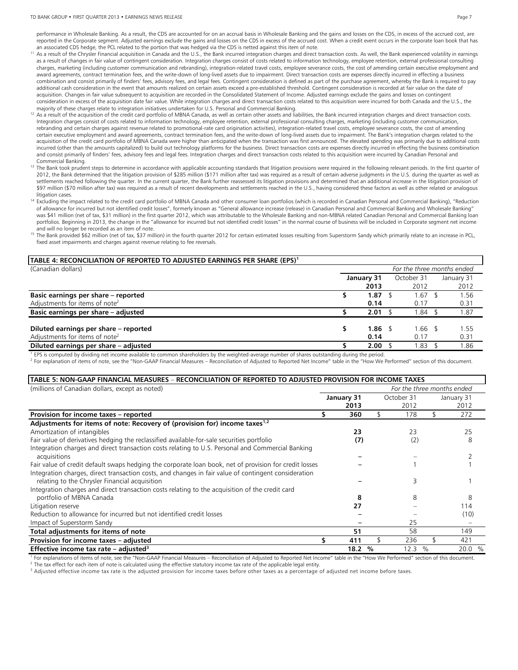performance in Wholesale Banking. As a result, the CDS are accounted for on an accrual basis in Wholesale Banking and the gains and losses on the CDS, in excess of the accrued cost, are reported in the Corporate segment. Adjusted earnings exclude the gains and losses on the CDS in excess of the accrued cost. When a credit event occurs in the corporate loan book that has

- an associated CDS hedge, the PCL related to the portion that was hedged via the CDS is netted against this item of note.<br><sup>11</sup> As a result of the Chrysler Financial acquisition in Canada and the U.S., the Bank incurred inte as a result of changes in fair value of contingent consideration. Integration charges consist of costs related to information technology, employee retention, external professional consulting charges, marketing (including customer communication and rebranding), integration-related travel costs, employee severance costs, the cost of amending certain executive employment and award agreements, contract termination fees, and the write-down of long-lived assets due to impairment. Direct transaction costs are expenses directly incurred in effecting a business combination and consist primarily of finders' fees, advisory fees, and legal fees. Contingent consideration is defined as part of the purchase agreement, whereby the Bank is required to pay additional cash consideration in the event that amounts realized on certain assets exceed a pre-established threshold. Contingent consideration is recorded at fair value on the date of acquisition. Changes in fair value subsequent to acquisition are recorded in the Consolidated Statement of Income. Adjusted earnings exclude the gains and losses on contingent consideration in excess of the acquisition date fair value. While integration charges and direct transaction costs related to this acquisition were incurred for both Canada and the U.S., the majority of these charges relate to integration initiatives undertaken for U.S. Personal and Commercial Banking.<br>As a result of the acquisition of the credit card portfolio of MBNA Canada, as well as certain other assets a
- Integration charges consist of costs related to information technology, employee retention, external professional consulting charges, marketing (including customer communication, rebranding and certain charges against revenue related to promotional-rate card origination activities), integration-related travel costs, employee severance costs, the cost of amending certain executive employment and award agreements, contract termination fees, and the write-down of long-lived assets due to impairment. The Bank's integration charges related to the acquisition of the credit card portfolio of MBNA Canada were higher than anticipated when the transaction was first announced. The elevated spending was primarily due to additional costs incurred (other than the amounts capitalized) to build out technology platforms for the business. Direct transaction costs are expenses directly incurred in effecting the business combination and consist primarily of finders' fees, advisory fees and legal fees. Integration charges and direct transaction costs related to this acquisition were incurred by Canadian Personal and<br>Commercial Banking.
- <sup>13</sup> The Bank took prudent steps to determine in accordance with applicable accounting standards that litigation provisions were required in the following relevant periods. In the first quarter of 2012, the Bank determined that the litigation provision of \$285 million (\$171 million after tax) was required as a result of certain adverse judgments in the U.S. during the quarter as well as settlements reached following the quarter. In the current quarter, the Bank further reassessed its litigation provisions and determined that an additional increase in the litigation provision of \$97 million (\$70 million after tax) was required as a result of recent developments and settlements reached in the U.S., having considered these factors as well as other related or analogous
- litigation cases.<br><sup>14</sup> Excluding the impact related to the credit card portfolio of MBNA Canada and other consumer loan portfolios (which is recorded in Canadian Personal and Commercial Banking), "Reduction of allowance for incurred but not identified credit losses", formerly known as "General allowance increase (release) in Canadian Personal and Commercial Banking and Wholesale Banking" was \$41 million (net of tax, \$31 million) in the first quarter 2012, which was attributable to the Wholesale Banking and non-MBNA related Canadian Personal and Commercial Banking loan portfolios. Beginning in 2013, the change in the "allowance for incurred but not identified credit losses" in the normal course of business will be included in Corporate segment net income
- and will no longer be recorded as an item of note.<br>The Bank provided \$62 million (net of tax, \$37 million) in the fourth quarter 2012 for certain estimated losses resulting from Superstorm Sandy which primarily relate to a fixed asset impairments and charges against revenue relating to fee reversals.

| For the three months ended<br>(Canadian dollars)<br>October 31<br>January 31<br>January 31<br>2013<br>2012<br>2012<br>1.56<br>Basic earnings per share – reported<br>1.87<br>1.67<br>Adjustments for items of note <sup>2</sup><br>0.31<br>0.14<br>0.17<br>Basic earnings per share - adjusted<br>1.87<br>2.01<br>1.84 | TABLE 4: RECONCILIATION OF REPORTED TO ADJUSTED EARNINGS PER SHARE (EPS) <sup>1</sup> |  |  |  |
|------------------------------------------------------------------------------------------------------------------------------------------------------------------------------------------------------------------------------------------------------------------------------------------------------------------------|---------------------------------------------------------------------------------------|--|--|--|
|                                                                                                                                                                                                                                                                                                                        |                                                                                       |  |  |  |
|                                                                                                                                                                                                                                                                                                                        |                                                                                       |  |  |  |
|                                                                                                                                                                                                                                                                                                                        |                                                                                       |  |  |  |
|                                                                                                                                                                                                                                                                                                                        |                                                                                       |  |  |  |
|                                                                                                                                                                                                                                                                                                                        |                                                                                       |  |  |  |
|                                                                                                                                                                                                                                                                                                                        |                                                                                       |  |  |  |
| Diluted earnings per share - reported<br>$1.86 \quad$ \$<br>1.66<br>1.55                                                                                                                                                                                                                                               |                                                                                       |  |  |  |
| Adjustments for items of note <sup>2</sup><br>0.31<br>0.14<br>0.17                                                                                                                                                                                                                                                     |                                                                                       |  |  |  |
| Diluted earnings per share - adjusted<br>1.86<br>2.00<br>1.83                                                                                                                                                                                                                                                          |                                                                                       |  |  |  |

<sup>1</sup> EPS is computed by dividing net income available to common shareholders by the weighted-average number of shares outstanding during the period.<br><sup>2</sup> For explanation of items of note, see the "Non-GAAP Financial Measures

#### **TABLE 5: NON-GAAP FINANCIAL MEASURES** – **RECONCILIATION OF REPORTED TO ADJUSTED PROVISION FOR INCOME TAXES**

| (millions of Canadian dollars, except as noted)                                                        | For the three months ended |            |      |            |      |            |  |  |  |
|--------------------------------------------------------------------------------------------------------|----------------------------|------------|------|------------|------|------------|--|--|--|
|                                                                                                        |                            | January 31 |      | October 31 |      | January 31 |  |  |  |
|                                                                                                        |                            | 2013       | 2012 |            |      | 2012       |  |  |  |
| Provision for income taxes - reported                                                                  |                            | 360        |      | 178        |      | 272        |  |  |  |
| Adjustments for items of note: Recovery of (provision for) income taxes <sup>1,2</sup>                 |                            |            |      |            |      |            |  |  |  |
| Amortization of intangibles                                                                            |                            | 23         |      | 23         |      | 25         |  |  |  |
| Fair value of derivatives hedging the reclassified available-for-sale securities portfolio             |                            | (7)        |      | (2)        |      | 8          |  |  |  |
| Integration charges and direct transaction costs relating to U.S. Personal and Commercial Banking      |                            |            |      |            |      |            |  |  |  |
| acquisitions                                                                                           |                            |            |      |            |      |            |  |  |  |
| Fair value of credit default swaps hedging the corporate loan book, net of provision for credit losses |                            |            |      |            |      |            |  |  |  |
| Integration charges, direct transaction costs, and changes in fair value of contingent consideration   |                            |            |      |            |      |            |  |  |  |
| relating to the Chrysler Financial acquisition                                                         |                            |            |      |            |      |            |  |  |  |
| Integration charges and direct transaction costs relating to the acquisition of the credit card        |                            |            |      |            |      |            |  |  |  |
| portfolio of MBNA Canada                                                                               |                            | 8          |      | 8          |      | 8          |  |  |  |
| Litigation reserve                                                                                     |                            | 27         |      |            |      | 114        |  |  |  |
| Reduction to allowance for incurred but not identified credit losses                                   |                            |            |      |            |      | (10)       |  |  |  |
| Impact of Superstorm Sandy                                                                             |                            |            |      | 25         |      |            |  |  |  |
| Total adjustments for items of note                                                                    |                            | 51         |      | 58         |      | 149        |  |  |  |
| Provision for income taxes - adjusted                                                                  | \$                         | 411        |      | 236        |      | 421        |  |  |  |
| Effective income tax rate – adjusted <sup>3</sup>                                                      |                            | 18.2 %     |      | 12.3       | $\%$ | 20.0 %     |  |  |  |

<sup>1</sup> For explanations of items of note, see the "Non-GAAP Financial Measures – Reconciliation of Adjusted to Reported Net Income" table in the "How We Performed" section of this document.<br><sup>2</sup> The tax effect for each item of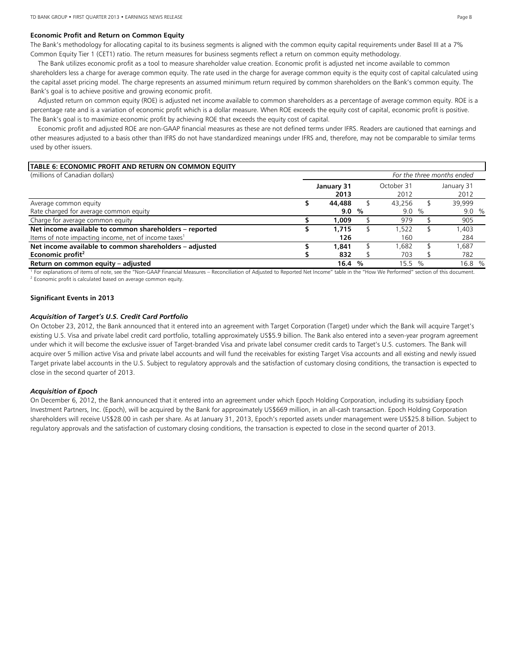#### **Economic Profit and Return on Common Equity**

The Bank's methodology for allocating capital to its business segments is aligned with the common equity capital requirements under Basel III at a 7% Common Equity Tier 1 (CET1) ratio. The return measures for business segments reflect a return on common equity methodology.

 The Bank utilizes economic profit as a tool to measure shareholder value creation. Economic profit is adjusted net income available to common shareholders less a charge for average common equity. The rate used in the charge for average common equity is the equity cost of capital calculated using the capital asset pricing model. The charge represents an assumed minimum return required by common shareholders on the Bank's common equity. The Bank's goal is to achieve positive and growing economic profit.

 Adjusted return on common equity (ROE) is adjusted net income available to common shareholders as a percentage of average common equity. ROE is a percentage rate and is a variation of economic profit which is a dollar measure. When ROE exceeds the equity cost of capital, economic profit is positive. The Bank's goal is to maximize economic profit by achieving ROE that exceeds the equity cost of capital.

 Economic profit and adjusted ROE are non-GAAP financial measures as these are not defined terms under IFRS. Readers are cautioned that earnings and other measures adjusted to a basis other than IFRS do not have standardized meanings under IFRS and, therefore, may not be comparable to similar terms used by other issuers.

# **TABLE 6: ECONOMIC PROFIT AND RETURN ON COMMON EQUITY**

| (millions of Canadian dollars)                                   | For the three months ended |               |            |               |            |  |  |  |  |  |
|------------------------------------------------------------------|----------------------------|---------------|------------|---------------|------------|--|--|--|--|--|
|                                                                  | January 31                 |               | October 31 |               | January 31 |  |  |  |  |  |
|                                                                  | 2013                       |               | 2012       |               | 2012       |  |  |  |  |  |
| Average common equity                                            | 44,488                     |               | 43.256     |               | 39.999     |  |  |  |  |  |
| Rate charged for average common equity                           | 9.0                        | %             | 9.0%       |               | 9.0%       |  |  |  |  |  |
| Charge for average common equity                                 | 1,009                      |               | 979        |               | 905        |  |  |  |  |  |
| Net income available to common shareholders - reported           | 1.715                      |               | 1.522      |               | 1,403      |  |  |  |  |  |
| Items of note impacting income, net of income taxes <sup>1</sup> | 126                        |               | 160        |               | 284        |  |  |  |  |  |
| Net income available to common shareholders - adjusted           | 1,841                      |               | 1.682      |               | 1,687      |  |  |  |  |  |
| Economic profit <sup>2</sup>                                     | 832                        |               | 703        |               | 782        |  |  |  |  |  |
| Return on common equity - adjusted                               | 16.4                       | $\frac{0}{0}$ | 15.5       | $\frac{1}{2}$ | 16.8 %     |  |  |  |  |  |

<sup>1</sup> For explanations of items of note, see the "Non-GAAP Financial Measures – Reconciliation of Adjusted to Reported Net Income" table in the "How We Performed" section of this document.  $2$  Economic profit is calculated based on average common equity.

### **Significant Events in 2013**

# *Acquisition of Target's U.S. Credit Card Portfolio*

On October 23, 2012, the Bank announced that it entered into an agreement with Target Corporation (Target) under which the Bank will acquire Target's existing U.S. Visa and private label credit card portfolio, totalling approximately US\$5.9 billion. The Bank also entered into a seven-year program agreement under which it will become the exclusive issuer of Target-branded Visa and private label consumer credit cards to Target's U.S. customers. The Bank will acquire over 5 million active Visa and private label accounts and will fund the receivables for existing Target Visa accounts and all existing and newly issued Target private label accounts in the U.S. Subject to regulatory approvals and the satisfaction of customary closing conditions, the transaction is expected to close in the second quarter of 2013.

# *Acquisition of Epoch*

On December 6, 2012, the Bank announced that it entered into an agreement under which Epoch Holding Corporation, including its subsidiary Epoch Investment Partners, Inc. (Epoch), will be acquired by the Bank for approximately US\$669 million, in an all-cash transaction. Epoch Holding Corporation shareholders will receive US\$28.00 in cash per share. As at January 31, 2013, Epoch's reported assets under management were US\$25.8 billion. Subject to regulatory approvals and the satisfaction of customary closing conditions, the transaction is expected to close in the second quarter of 2013.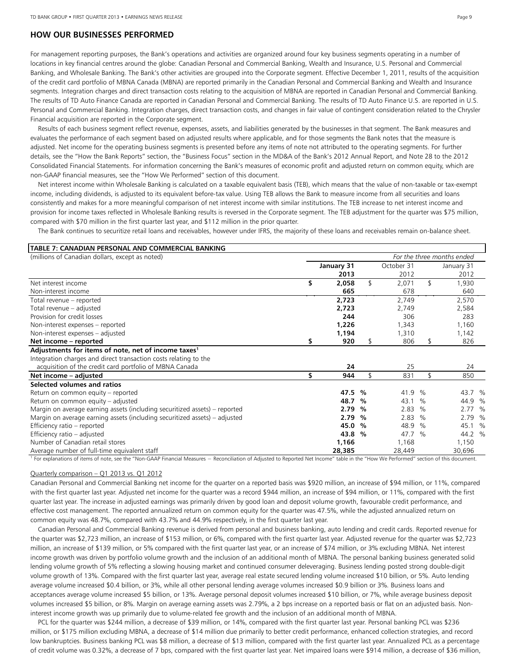# **HOW OUR BUSINESSES PERFORMED**

For management reporting purposes, the Bank's operations and activities are organized around four key business segments operating in a number of locations in key financial centres around the globe: Canadian Personal and Commercial Banking, Wealth and Insurance, U.S. Personal and Commercial Banking, and Wholesale Banking. The Bank's other activities are grouped into the Corporate segment. Effective December 1, 2011, results of the acquisition of the credit card portfolio of MBNA Canada (MBNA) are reported primarily in the Canadian Personal and Commercial Banking and Wealth and Insurance segments. Integration charges and direct transaction costs relating to the acquisition of MBNA are reported in Canadian Personal and Commercial Banking. The results of TD Auto Finance Canada are reported in Canadian Personal and Commercial Banking. The results of TD Auto Finance U.S. are reported in U.S. Personal and Commercial Banking. Integration charges, direct transaction costs, and changes in fair value of contingent consideration related to the Chrysler Financial acquisition are reported in the Corporate segment.

 Results of each business segment reflect revenue, expenses, assets, and liabilities generated by the businesses in that segment. The Bank measures and evaluates the performance of each segment based on adjusted results where applicable, and for those segments the Bank notes that the measure is adjusted. Net income for the operating business segments is presented before any items of note not attributed to the operating segments. For further details, see the "How the Bank Reports" section, the "Business Focus" section in the MD&A of the Bank's 2012 Annual Report, and Note 28 to the 2012 Consolidated Financial Statements. For information concerning the Bank's measures of economic profit and adjusted return on common equity, which are non-GAAP financial measures, see the "How We Performed" section of this document.

 Net interest income within Wholesale Banking is calculated on a taxable equivalent basis (TEB), which means that the value of non-taxable or tax-exempt income, including dividends, is adjusted to its equivalent before-tax value. Using TEB allows the Bank to measure income from all securities and loans consistently and makes for a more meaningful comparison of net interest income with similar institutions. The TEB increase to net interest income and provision for income taxes reflected in Wholesale Banking results is reversed in the Corporate segment. The TEB adjustment for the quarter was \$75 million, compared with \$70 million in the first quarter last year, and \$112 million in the prior quarter.

The Bank continues to securitize retail loans and receivables, however under IFRS, the majority of these loans and receivables remain on-balance sheet.

# **TABLE 7: CANADIAN PERSONAL AND COMMERCIAL BANKING** (millions of Canadian dollars, except as noted) *For the three months ended*  **January 31** October 31 January 31 **2013** 2012 2012 Net interest income **\$ 2,058** \$ 2,071 \$ 1,930 Non-interest income **665** 678 640 Total revenue – reported **2,723** 2,749 2,570 Total revenue – adjusted **2,723** 2,749 2,584 Provision for credit losses **244** 306 283 Non-interest expenses – reported **1,226** 1,343 1,160 Non-interest expenses – adjusted **1,194 1,194 Net income – reported by a set of the set of the set of the set of the set of the set of the set of the set of the set of the set of the set of the set of the set of the set of the set of the set of the set of the set o Adjustments for items of note, net of income taxes1**  Integration charges and direct transaction costs relating to the acquisition of the credit card portfolio of MBNA Canada **24** 25 24 **Net income – adjusted \$ 944** \$ 831 \$ 850 **Selected volumes and ratios** Return on common equity – reported **47.5 %** 41.9 % 43.7 % Return on common equity – adjusted **48.7 %** 43.1 % 44.9 % Margin on average earning assets (including securitized assets) – reported **2.79 %** 2.83 % 2.77 % Margin on average earning assets (including securitized assets) – adjusted **2.79 %** 2.83 % 2.79 % Efficiency ratio – reported **45.0 %** 48.9 % 45.1 % Efficiency ratio – adjusted **43.8 %** 47.7 % 44.2 % Number of Canadian retail stores **1,166** 1,168 1,150 30,696 Average number of full-time equivalent staff<br>The explanations of items of note, see the "Non-GAAP Financial Measures – Reconciliation of Adjusted to Reported Net Income" table in the "How We Performed" section of th

#### Quarterly comparison – Q1 2013 vs. Q1 2012

Canadian Personal and Commercial Banking net income for the quarter on a reported basis was \$920 million, an increase of \$94 million, or 11%, compared with the first quarter last year. Adjusted net income for the quarter was a record \$944 million, an increase of \$94 million, or 11%, compared with the first quarter last year. The increase in adjusted earnings was primarily driven by good loan and deposit volume growth, favourable credit performance, and effective cost management. The reported annualized return on common equity for the quarter was 47.5%, while the adjusted annualized return on common equity was 48.7%, compared with 43.7% and 44.9% respectively, in the first quarter last year.

 Canadian Personal and Commercial Banking revenue is derived from personal and business banking, auto lending and credit cards. Reported revenue for the quarter was \$2,723 million, an increase of \$153 million, or 6%, compared with the first quarter last year. Adjusted revenue for the quarter was \$2,723 million, an increase of \$139 million, or 5% compared with the first quarter last year, or an increase of \$74 million, or 3% excluding MBNA. Net interest income growth was driven by portfolio volume growth and the inclusion of an additional month of MBNA. The personal banking business generated solid lending volume growth of 5% reflecting a slowing housing market and continued consumer deleveraging. Business lending posted strong double-digit volume growth of 13%. Compared with the first quarter last year, average real estate secured lending volume increased \$10 billion, or 5%. Auto lending average volume increased \$0.4 billion, or 3%, while all other personal lending average volumes increased \$0.9 billion or 3%. Business loans and acceptances average volume increased \$5 billion, or 13%. Average personal deposit volumes increased \$10 billion, or 7%, while average business deposit volumes increased \$5 billion, or 8%. Margin on average earning assets was 2.79%, a 2 bps increase on a reported basis or flat on an adjusted basis. Noninterest income growth was up primarily due to volume-related fee growth and the inclusion of an additional month of MBNA.

 PCL for the quarter was \$244 million, a decrease of \$39 million, or 14%, compared with the first quarter last year. Personal banking PCL was \$236 million, or \$175 million excluding MBNA, a decrease of \$14 million due primarily to better credit performance, enhanced collection strategies, and record low bankruptcies. Business banking PCL was \$8 million, a decrease of \$13 million, compared with the first quarter last year. Annualized PCL as a percentage of credit volume was 0.32%, a decrease of 7 bps, compared with the first quarter last year. Net impaired loans were \$914 million, a decrease of \$36 million,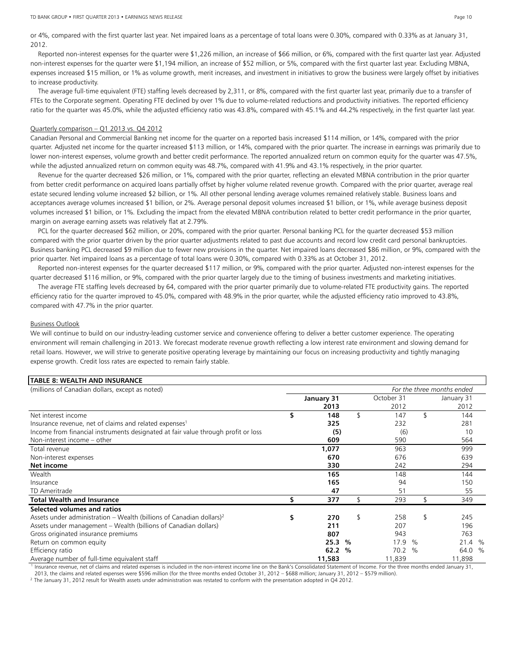or 4%, compared with the first quarter last year. Net impaired loans as a percentage of total loans were 0.30%, compared with 0.33% as at January 31, 2012.

 Reported non-interest expenses for the quarter were \$1,226 million, an increase of \$66 million, or 6%, compared with the first quarter last year. Adjusted non-interest expenses for the quarter were \$1,194 million, an increase of \$52 million, or 5%, compared with the first quarter last year. Excluding MBNA, expenses increased \$15 million, or 1% as volume growth, merit increases, and investment in initiatives to grow the business were largely offset by initiatives to increase productivity.

 The average full-time equivalent (FTE) staffing levels decreased by 2,311, or 8%, compared with the first quarter last year, primarily due to a transfer of FTEs to the Corporate segment. Operating FTE declined by over 1% due to volume-related reductions and productivity initiatives. The reported efficiency ratio for the quarter was 45.0%, while the adjusted efficiency ratio was 43.8%, compared with 45.1% and 44.2% respectively, in the first quarter last year.

# Quarterly comparison – Q1 2013 vs. Q4 2012

Canadian Personal and Commercial Banking net income for the quarter on a reported basis increased \$114 million, or 14%, compared with the prior quarter. Adjusted net income for the quarter increased \$113 million, or 14%, compared with the prior quarter. The increase in earnings was primarily due to lower non-interest expenses, volume growth and better credit performance. The reported annualized return on common equity for the quarter was 47.5%, while the adjusted annualized return on common equity was 48.7%, compared with 41.9% and 43.1% respectively, in the prior quarter.

 Revenue for the quarter decreased \$26 million, or 1%, compared with the prior quarter, reflecting an elevated MBNA contribution in the prior quarter from better credit performance on acquired loans partially offset by higher volume related revenue growth. Compared with the prior quarter, average real estate secured lending volume increased \$2 billion, or 1%. All other personal lending average volumes remained relatively stable. Business loans and acceptances average volumes increased \$1 billion, or 2%. Average personal deposit volumes increased \$1 billion, or 1%, while average business deposit volumes increased \$1 billion, or 1%. Excluding the impact from the elevated MBNA contribution related to better credit performance in the prior quarter, margin on average earning assets was relatively flat at 2.79%.

 PCL for the quarter decreased \$62 million, or 20%, compared with the prior quarter. Personal banking PCL for the quarter decreased \$53 million compared with the prior quarter driven by the prior quarter adjustments related to past due accounts and record low credit card personal bankruptcies. Business banking PCL decreased \$9 million due to fewer new provisions in the quarter. Net impaired loans decreased \$86 million, or 9%, compared with the prior quarter. Net impaired loans as a percentage of total loans were 0.30%, compared with 0.33% as at October 31, 2012.

 Reported non-interest expenses for the quarter decreased \$117 million, or 9%, compared with the prior quarter. Adjusted non-interest expenses for the quarter decreased \$116 million, or 9%, compared with the prior quarter largely due to the timing of business investments and marketing initiatives.

 The average FTE staffing levels decreased by 64, compared with the prior quarter primarily due to volume-related FTE productivity gains. The reported efficiency ratio for the quarter improved to 45.0%, compared with 48.9% in the prior quarter, while the adjusted efficiency ratio improved to 43.8%, compared with 47.7% in the prior quarter.

### Business Outlook

We will continue to build on our industry-leading customer service and convenience offering to deliver a better customer experience. The operating environment will remain challenging in 2013. We forecast moderate revenue growth reflecting a low interest rate environment and slowing demand for retail loans. However, we will strive to generate positive operating leverage by maintaining our focus on increasing productivity and tightly managing expense growth. Credit loss rates are expected to remain fairly stable.

#### **TABLE 8: WEALTH AND INSURANCE**

| (millions of Canadian dollars, except as noted)                                   |            |    |            |               | For the three months ended |   |
|-----------------------------------------------------------------------------------|------------|----|------------|---------------|----------------------------|---|
|                                                                                   | January 31 |    | October 31 |               | January 31                 |   |
|                                                                                   | 2013       |    | 2012       |               | 2012                       |   |
| Net interest income                                                               | 148        |    | \$<br>147  |               | \$<br>144                  |   |
| Insurance revenue, net of claims and related expenses <sup>1</sup>                | 325        |    | 232        |               | 281                        |   |
| Income from financial instruments designated at fair value through profit or loss | (5)        |    | (6)        |               | 10                         |   |
| Non-interest income – other                                                       | 609        |    | 590        |               | 564                        |   |
| Total revenue                                                                     | 1,077      |    | 963        |               | 999                        |   |
| Non-interest expenses                                                             | 670        |    | 676        |               | 639                        |   |
| Net income                                                                        | 330        |    | 242        |               | 294                        |   |
| Wealth                                                                            | 165        |    | 148        |               | 144                        |   |
| Insurance                                                                         | 165        |    | 94         |               | 150                        |   |
| TD Ameritrade                                                                     | 47         |    | 51         |               | 55                         |   |
| <b>Total Wealth and Insurance</b>                                                 | 377        |    | 293<br>\$  |               | 349                        |   |
| Selected volumes and ratios                                                       |            |    |            |               |                            |   |
| Assets under administration – Wealth (billions of Canadian dollars) <sup>2</sup>  | 270        | \$ | 258        |               | \$<br>245                  |   |
| Assets under management – Wealth (billions of Canadian dollars)                   | 211        |    | 207        |               | 196                        |   |
| Gross originated insurance premiums                                               | 807        |    | 943        |               | 763                        |   |
| Return on common equity                                                           | 25.3       | %  | 17.9       | $\%$          | 21.4                       | % |
| Efficiency ratio                                                                  | 62.2 %     |    | 70.2       | $\frac{1}{2}$ | 64.0                       | % |
| Average number of full-time equivalent staff                                      | 11,583     |    | 11,839     |               | 11,898                     |   |

<sup>1</sup> Insurance revenue, net of claims and related expenses is included in the non-interest income line on the Bank's Consolidated Statement of Income. For the three months ended January 31,

2013, the claims and related expenses were \$596 million (for the three months ended October 31, 2012 – \$688 million; January 31, 2012 – \$579 million).<br><sup>2</sup> The January 31, 2012 result for Wealth assets under administration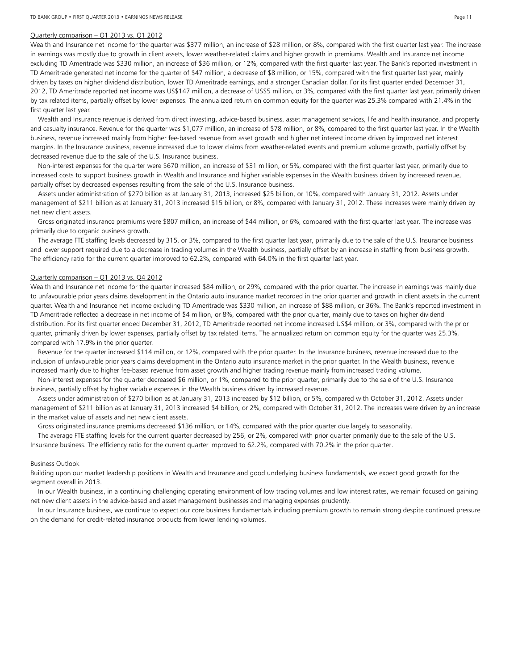#### Quarterly comparison – Q1 2013 vs. Q1 2012

Wealth and Insurance net income for the quarter was \$377 million, an increase of \$28 million, or 8%, compared with the first quarter last year. The increase in earnings was mostly due to growth in client assets, lower weather-related claims and higher growth in premiums. Wealth and Insurance net income excluding TD Ameritrade was \$330 million, an increase of \$36 million, or 12%, compared with the first quarter last year. The Bank's reported investment in TD Ameritrade generated net income for the quarter of \$47 million, a decrease of \$8 million, or 15%, compared with the first quarter last year, mainly driven by taxes on higher dividend distribution, lower TD Ameritrade earnings, and a stronger Canadian dollar. For its first quarter ended December 31, 2012, TD Ameritrade reported net income was US\$147 million, a decrease of US\$5 million, or 3%, compared with the first quarter last year, primarily driven by tax related items, partially offset by lower expenses. The annualized return on common equity for the quarter was 25.3% compared with 21.4% in the first quarter last year.

 Wealth and Insurance revenue is derived from direct investing, advice-based business, asset management services, life and health insurance, and property and casualty insurance. Revenue for the quarter was \$1,077 million, an increase of \$78 million, or 8%, compared to the first quarter last year. In the Wealth business, revenue increased mainly from higher fee-based revenue from asset growth and higher net interest income driven by improved net interest margins. In the Insurance business, revenue increased due to lower claims from weather-related events and premium volume growth, partially offset by decreased revenue due to the sale of the U.S. Insurance business.

 Non-interest expenses for the quarter were \$670 million, an increase of \$31 million, or 5%, compared with the first quarter last year, primarily due to increased costs to support business growth in Wealth and Insurance and higher variable expenses in the Wealth business driven by increased revenue, partially offset by decreased expenses resulting from the sale of the U.S. Insurance business.

 Assets under administration of \$270 billion as at January 31, 2013, increased \$25 billion, or 10%, compared with January 31, 2012. Assets under management of \$211 billion as at January 31, 2013 increased \$15 billion, or 8%, compared with January 31, 2012. These increases were mainly driven by net new client assets.

 Gross originated insurance premiums were \$807 million, an increase of \$44 million, or 6%, compared with the first quarter last year. The increase was primarily due to organic business growth.

The average FTE staffing levels decreased by 315, or 3%, compared to the first quarter last year, primarily due to the sale of the U.S. Insurance business and lower support required due to a decrease in trading volumes in the Wealth business, partially offset by an increase in staffing from business growth. The efficiency ratio for the current quarter improved to 62.2%, compared with 64.0% in the first quarter last year.

## Quarterly comparison – Q1 2013 vs. Q4 2012

Wealth and Insurance net income for the quarter increased \$84 million, or 29%, compared with the prior quarter. The increase in earnings was mainly due to unfavourable prior years claims development in the Ontario auto insurance market recorded in the prior quarter and growth in client assets in the current quarter. Wealth and Insurance net income excluding TD Ameritrade was \$330 million, an increase of \$88 million, or 36%. The Bank's reported investment in TD Ameritrade reflected a decrease in net income of \$4 million, or 8%, compared with the prior quarter, mainly due to taxes on higher dividend distribution. For its first quarter ended December 31, 2012, TD Ameritrade reported net income increased US\$4 million, or 3%, compared with the prior quarter, primarily driven by lower expenses, partially offset by tax related items. The annualized return on common equity for the quarter was 25.3%, compared with 17.9% in the prior quarter.

 Revenue for the quarter increased \$114 million, or 12%, compared with the prior quarter. In the Insurance business, revenue increased due to the inclusion of unfavourable prior years claims development in the Ontario auto insurance market in the prior quarter. In the Wealth business, revenue increased mainly due to higher fee-based revenue from asset growth and higher trading revenue mainly from increased trading volume.

 Non-interest expenses for the quarter decreased \$6 million, or 1%, compared to the prior quarter, primarily due to the sale of the U.S. Insurance business, partially offset by higher variable expenses in the Wealth business driven by increased revenue.

 Assets under administration of \$270 billion as at January 31, 2013 increased by \$12 billion, or 5%, compared with October 31, 2012. Assets under management of \$211 billion as at January 31, 2013 increased \$4 billion, or 2%, compared with October 31, 2012. The increases were driven by an increase in the market value of assets and net new client assets.

Gross originated insurance premiums decreased \$136 million, or 14%, compared with the prior quarter due largely to seasonality.

The average FTE staffing levels for the current quarter decreased by 256, or 2%, compared with prior quarter primarily due to the sale of the U.S. Insurance business. The efficiency ratio for the current quarter improved to 62.2%, compared with 70.2% in the prior quarter.

#### Business Outlook

Building upon our market leadership positions in Wealth and Insurance and good underlying business fundamentals, we expect good growth for the segment overall in 2013.

 In our Wealth business, in a continuing challenging operating environment of low trading volumes and low interest rates, we remain focused on gaining net new client assets in the advice-based and asset management businesses and managing expenses prudently.

 In our Insurance business, we continue to expect our core business fundamentals including premium growth to remain strong despite continued pressure on the demand for credit-related insurance products from lower lending volumes.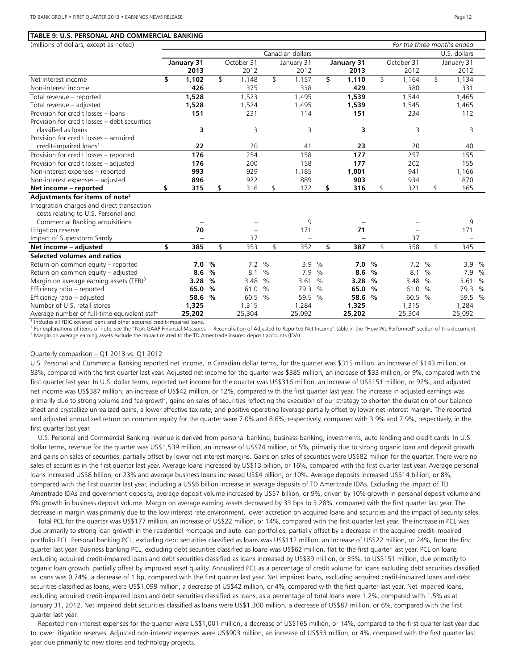| (millions of dollars, except as noted)        |             |               |            |               |                  |      |            |               |            |      | For the three months ended |               |
|-----------------------------------------------|-------------|---------------|------------|---------------|------------------|------|------------|---------------|------------|------|----------------------------|---------------|
|                                               |             |               |            |               | Canadian dollars |      |            |               |            |      | U.S. dollars               |               |
|                                               | January 31  |               | October 31 |               | January 31       |      | January 31 |               | October 31 |      | January 31                 |               |
|                                               | 2013        |               | 2012       |               | 2012             |      | 2013       |               | 2012       |      | 2012                       |               |
| Net interest income                           | \$<br>1,102 | \$            | 1,148      | \$            | 1,157            | \$   | 1,110      | \$            | 1,164      | \$   | 1,134                      |               |
| Non-interest income                           | 426         |               | 375        |               | 338              |      | 429        |               | 380        |      | 331                        |               |
| Total revenue - reported                      | 1,528       |               | 1,523      |               | 1,495            |      | 1,539      |               | 1,544      |      | 1,465                      |               |
| Total revenue - adjusted                      | 1,528       |               | 1,524      |               | 1,495            |      | 1,539      |               | 1,545      |      | 1,465                      |               |
| Provision for credit losses - loans           | 151         |               | 231        |               | 114              |      | 151        |               | 234        |      | 112                        |               |
| Provision for credit losses - debt securities |             |               |            |               |                  |      |            |               |            |      |                            |               |
| classified as loans                           | 3           |               | 3          |               | 3                |      | 3          |               | 3          |      | 3                          |               |
| Provision for credit losses - acquired        |             |               |            |               |                  |      |            |               |            |      |                            |               |
| credit-impaired loans <sup>1</sup>            | 22          |               | 20         |               | 41               |      | 23         |               | 20         |      | 40                         |               |
| Provision for credit losses - reported        | 176         |               | 254        |               | 158              |      | 177        |               | 257        |      | 155                        |               |
| Provision for credit losses - adjusted        | 176         |               | 200        |               | 158              |      | 177        |               | 202        |      | 155                        |               |
| Non-interest expenses - reported              | 993         |               | 929        |               | 1,185            |      | 1,001      |               | 941        |      | 1,166                      |               |
| Non-interest expenses - adjusted              | 896         |               | 922        |               | 889              |      | 903        |               | 934        |      | 870                        |               |
| Net income - reported                         | \$<br>315   | \$            | 316        | \$            | 172              | \$   | 316        | \$            | 321        | \$   | 165                        |               |
| Adjustments for items of note <sup>2</sup>    |             |               |            |               |                  |      |            |               |            |      |                            |               |
| Integration charges and direct transaction    |             |               |            |               |                  |      |            |               |            |      |                            |               |
| costs relating to U.S. Personal and           |             |               |            |               |                  |      |            |               |            |      |                            |               |
| Commercial Banking acquisitions               |             |               |            |               | 9                |      |            |               |            |      | 9                          |               |
| Litigation reserve                            | 70          |               |            |               | 171              |      | 71         |               |            |      | 171                        |               |
| Impact of Superstorm Sandy                    |             |               | 37         |               |                  |      |            |               | 37         |      |                            |               |
| Net income - adjusted                         | \$<br>385   | \$            | 353        | \$            | 352              | \$   | 387        | \$            | 358        | \$   | 345                        |               |
| Selected volumes and ratios                   |             |               |            |               |                  |      |            |               |            |      |                            |               |
| Return on common equity - reported            | 7.0         | $\%$          | 7.2        | $\%$          | 3.9              | $\%$ | 7.0        | $\frac{0}{0}$ | 7.2        | $\%$ | 3.9                        | $\frac{0}{c}$ |
| Return on common equity - adjusted            | 8.6         | $\frac{0}{0}$ | 8.1        | $\%$          | 7.9              | $\%$ | 8.6        | $\frac{0}{0}$ | 8.1        | $\%$ | 7.9                        | $\frac{0}{c}$ |
| Margin on average earning assets (TEB) $3$    | 3.28        | $\frac{0}{0}$ | 3.48       | $\%$          | 3.61             | $\%$ | 3.28       | $\%$          | 3.48       | $\%$ | 3.61                       | $\frac{0}{c}$ |
| Efficiency ratio - reported                   | 65.0        | $\frac{0}{0}$ | 61.0       | $\frac{0}{0}$ | 79.3             | $\%$ | 65.0       | $\frac{0}{0}$ | 61.0       | $\%$ | 79.3                       | $\frac{0}{c}$ |
| Efficiency ratio - adjusted                   | 58.6        | $\frac{0}{0}$ | 60.5       | $\%$          | 59.5             | $\%$ | 58.6       | $\%$          | 60.5       | $\%$ | 59.5 %                     |               |
| Number of U.S. retail stores                  | 1,325       |               | 1,315      |               | 1,284            |      | 1,325      |               | 1,315      |      | 1,284                      |               |
| Average number of full-time equivalent staff  | 25,202      |               | 25,304     |               | 25,092           |      | 25,202     |               | 25,304     |      | 25,092                     |               |

Includes all FDIC covered loans and other acquired credit-impaired loans.

<sup>2</sup> For explanations of items of note, see the "Non-GAAP Financial Measures – Reconciliation of Adjusted to Reported Net Income" table in the "How We Performed" section of this document.<br><sup>3</sup> Margin on average earning asset

#### Quarterly comparison – Q1 2013 vs. Q1 2012

U.S. Personal and Commercial Banking reported net income, in Canadian dollar terms, for the quarter was \$315 million, an increase of \$143 million, or 83%, compared with the first quarter last year. Adjusted net income for the quarter was \$385 million, an increase of \$33 million, or 9%, compared with the first quarter last year. In U.S. dollar terms, reported net income for the quarter was US\$316 million, an increase of US\$151 million, or 92%, and adjusted net income was US\$387 million, an increase of US\$42 million, or 12%, compared with the first quarter last year. The increase in adjusted earnings was primarily due to strong volume and fee growth, gains on sales of securities reflecting the execution of our strategy to shorten the duration of our balance sheet and crystallize unrealized gains, a lower effective tax rate, and positive operating leverage partially offset by lower net interest margin. The reported and adjusted annualized return on common equity for the quarter were 7.0% and 8.6%, respectively, compared with 3.9% and 7.9%, respectively, in the first quarter last year.

U.S. Personal and Commercial Banking revenue is derived from personal banking, business banking, investments, auto lending and credit cards. In U.S. dollar terms, revenue for the quarter was US\$1,539 million, an increase of US\$74 million, or 5%, primarily due to strong organic loan and deposit growth and gains on sales of securities, partially offset by lower net interest margins. Gains on sales of securities were US\$82 million for the quarter. There were no sales of securities in the first quarter last year. Average loans increased by US\$13 billion, or 16%, compared with the first quarter last year. Average personal loans increased US\$8 billion, or 23% and average business loans increased US\$4 billion, or 10%. Average deposits increased US\$14 billion, or 8%, compared with the first quarter last year, including a US\$6 billion increase in average deposits of TD Ameritrade IDAs. Excluding the impact of TD Ameritrade IDAs and government deposits, average deposit volume increased by US\$7 billion, or 9%, driven by 10% growth in personal deposit volume and 6% growth in business deposit volume. Margin on average earning assets decreased by 33 bps to 3.28%, compared with the first quarter last year. The decrease in margin was primarily due to the low interest rate environment, lower accretion on acquired loans and securities and the impact of security sales.

 Total PCL for the quarter was US\$177 million, an increase of US\$22 million, or 14%, compared with the first quarter last year. The increase in PCL was due primarily to strong loan growth in the residential mortgage and auto loan portfolios, partially offset by a decrease in the acquired credit-impaired portfolio PCL. Personal banking PCL, excluding debt securities classified as loans was US\$112 million, an increase of US\$22 million, or 24%, from the first quarter last year. Business banking PCL, excluding debt securities classified as loans was US\$62 million, flat to the first quarter last year. PCL on loans excluding acquired credit-impaired loans and debt securities classified as loans increased by US\$39 million, or 35%, to US\$151 million, due primarily to organic loan growth, partially offset by improved asset quality. Annualized PCL as a percentage of credit volume for loans excluding debt securities classified as loans was 0.74%, a decrease of 1 bp, compared with the first quarter last year. Net impaired loans, excluding acquired credit-impaired loans and debt securities classified as loans, were US\$1,099 million, a decrease of US\$42 million, or 4%, compared with the first quarter last year. Net impaired loans, excluding acquired credit-impaired loans and debt securities classified as loans, as a percentage of total loans were 1.2%, compared with 1.5% as at January 31, 2012. Net impaired debt securities classified as loans were US\$1,300 million, a decrease of US\$87 million, or 6%, compared with the first quarter last year.

 Reported non-interest expenses for the quarter were US\$1,001 million, a decrease of US\$165 million, or 14%, compared to the first quarter last year due to lower litigation reserves. Adjusted non-interest expenses were US\$903 million, an increase of US\$33 million, or 4%, compared with the first quarter last year due primarily to new stores and technology projects.

 $\sim$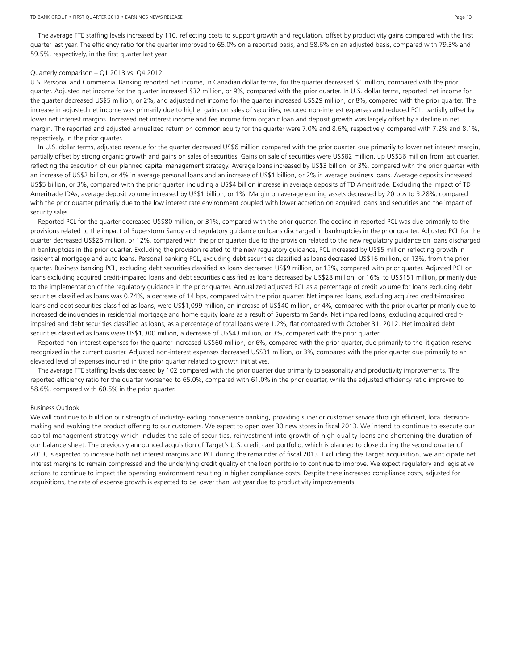The average FTE staffing levels increased by 110, reflecting costs to support growth and regulation, offset by productivity gains compared with the first quarter last year. The efficiency ratio for the quarter improved to 65.0% on a reported basis, and 58.6% on an adjusted basis, compared with 79.3% and 59.5%, respectively, in the first quarter last year.

#### Quarterly comparison – Q1 2013 vs. Q4 2012

U.S. Personal and Commercial Banking reported net income, in Canadian dollar terms, for the quarter decreased \$1 million, compared with the prior quarter. Adjusted net income for the quarter increased \$32 million, or 9%, compared with the prior quarter. In U.S. dollar terms, reported net income for the quarter decreased US\$5 million, or 2%, and adjusted net income for the quarter increased US\$29 million, or 8%, compared with the prior quarter. The increase in adjusted net income was primarily due to higher gains on sales of securities, reduced non-interest expenses and reduced PCL, partially offset by lower net interest margins. Increased net interest income and fee income from organic loan and deposit growth was largely offset by a decline in net margin. The reported and adjusted annualized return on common equity for the quarter were 7.0% and 8.6%, respectively, compared with 7.2% and 8.1%, respectively, in the prior quarter.

In U.S. dollar terms, adjusted revenue for the quarter decreased US\$6 million compared with the prior quarter, due primarily to lower net interest margin, partially offset by strong organic growth and gains on sales of securities. Gains on sale of securities were US\$82 million, up US\$36 million from last quarter, reflecting the execution of our planned capital management strategy. Average loans increased by US\$3 billion, or 3%, compared with the prior quarter with an increase of US\$2 billion, or 4% in average personal loans and an increase of US\$1 billion, or 2% in average business loans. Average deposits increased US\$5 billion, or 3%, compared with the prior quarter, including a US\$4 billion increase in average deposits of TD Ameritrade. Excluding the impact of TD Ameritrade IDAs, average deposit volume increased by US\$1 billion, or 1%. Margin on average earning assets decreased by 20 bps to 3.28%, compared with the prior quarter primarily due to the low interest rate environment coupled with lower accretion on acquired loans and securities and the impact of security sales.

 Reported PCL for the quarter decreased US\$80 million, or 31%, compared with the prior quarter. The decline in reported PCL was due primarily to the provisions related to the impact of Superstorm Sandy and regulatory guidance on loans discharged in bankruptcies in the prior quarter. Adjusted PCL for the quarter decreased US\$25 million, or 12%, compared with the prior quarter due to the provision related to the new regulatory guidance on loans discharged in bankruptcies in the prior quarter. Excluding the provision related to the new regulatory guidance, PCL increased by US\$5 million reflecting growth in residential mortgage and auto loans. Personal banking PCL, excluding debt securities classified as loans decreased US\$16 million, or 13%, from the prior quarter. Business banking PCL, excluding debt securities classified as loans decreased US\$9 million, or 13%, compared with prior quarter. Adjusted PCL on loans excluding acquired credit-impaired loans and debt securities classified as loans decreased by US\$28 million, or 16%, to US\$151 million, primarily due to the implementation of the regulatory guidance in the prior quarter. Annualized adjusted PCL as a percentage of credit volume for loans excluding debt securities classified as loans was 0.74%, a decrease of 14 bps, compared with the prior quarter. Net impaired loans, excluding acquired credit-impaired loans and debt securities classified as loans, were US\$1,099 million, an increase of US\$40 million, or 4%, compared with the prior quarter primarily due to increased delinquencies in residential mortgage and home equity loans as a result of Superstorm Sandy. Net impaired loans, excluding acquired creditimpaired and debt securities classified as loans, as a percentage of total loans were 1.2%, flat compared with October 31, 2012. Net impaired debt securities classified as loans were US\$1,300 million, a decrease of US\$43 million, or 3%, compared with the prior quarter.

 Reported non-interest expenses for the quarter increased US\$60 million, or 6%, compared with the prior quarter, due primarily to the litigation reserve recognized in the current quarter. Adjusted non-interest expenses decreased US\$31 million, or 3%, compared with the prior quarter due primarily to an elevated level of expenses incurred in the prior quarter related to growth initiatives.

 The average FTE staffing levels decreased by 102 compared with the prior quarter due primarily to seasonality and productivity improvements. The reported efficiency ratio for the quarter worsened to 65.0%, compared with 61.0% in the prior quarter, while the adjusted efficiency ratio improved to 58.6%, compared with 60.5% in the prior quarter.

#### Business Outlook

We will continue to build on our strength of industry-leading convenience banking, providing superior customer service through efficient, local decisionmaking and evolving the product offering to our customers. We expect to open over 30 new stores in fiscal 2013. We intend to continue to execute our capital management strategy which includes the sale of securities, reinvestment into growth of high quality loans and shortening the duration of our balance sheet. The previously announced acquisition of Target's U.S. credit card portfolio, which is planned to close during the second quarter of 2013, is expected to increase both net interest margins and PCL during the remainder of fiscal 2013. Excluding the Target acquisition, we anticipate net interest margins to remain compressed and the underlying credit quality of the loan portfolio to continue to improve. We expect regulatory and legislative actions to continue to impact the operating environment resulting in higher compliance costs. Despite these increased compliance costs, adjusted for acquisitions, the rate of expense growth is expected to be lower than last year due to productivity improvements.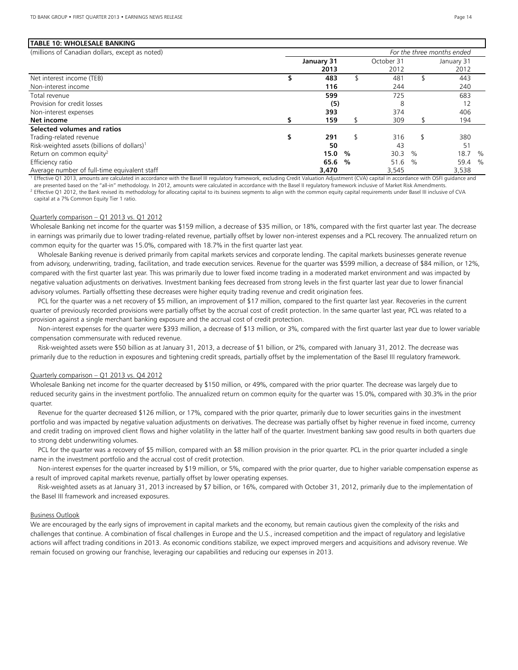| <b>TABLE 10: WHOLESALE BANKING</b>                                                                                                                                                                                                                                                                                                                                                                                                                                                                       |   |                            |               |            |      |                   |            |               |  |  |
|----------------------------------------------------------------------------------------------------------------------------------------------------------------------------------------------------------------------------------------------------------------------------------------------------------------------------------------------------------------------------------------------------------------------------------------------------------------------------------------------------------|---|----------------------------|---------------|------------|------|-------------------|------------|---------------|--|--|
| (millions of Canadian dollars, except as noted)                                                                                                                                                                                                                                                                                                                                                                                                                                                          |   | For the three months ended |               |            |      |                   |            |               |  |  |
|                                                                                                                                                                                                                                                                                                                                                                                                                                                                                                          |   | January 31                 |               | October 31 |      |                   | January 31 |               |  |  |
|                                                                                                                                                                                                                                                                                                                                                                                                                                                                                                          |   | 2013                       |               | 2012       |      |                   | 2012       |               |  |  |
| Net interest income (TEB)                                                                                                                                                                                                                                                                                                                                                                                                                                                                                |   | 483                        |               | 481        |      |                   | 443        |               |  |  |
| Non-interest income                                                                                                                                                                                                                                                                                                                                                                                                                                                                                      |   | 116                        |               | 244        |      |                   | 240        |               |  |  |
| Total revenue                                                                                                                                                                                                                                                                                                                                                                                                                                                                                            |   | 599                        |               | 725        |      |                   | 683        |               |  |  |
| Provision for credit losses                                                                                                                                                                                                                                                                                                                                                                                                                                                                              |   | (5)                        |               | 8          |      |                   | 12         |               |  |  |
| Non-interest expenses                                                                                                                                                                                                                                                                                                                                                                                                                                                                                    |   | 393                        |               | 374        |      |                   | 406        |               |  |  |
| Net income                                                                                                                                                                                                                                                                                                                                                                                                                                                                                               |   | 159                        |               | 309        |      |                   | 194        |               |  |  |
| Selected volumes and ratios                                                                                                                                                                                                                                                                                                                                                                                                                                                                              |   |                            |               |            |      |                   |            |               |  |  |
| Trading-related revenue                                                                                                                                                                                                                                                                                                                                                                                                                                                                                  |   | 291                        | \$            | 316        |      | \$                | 380        |               |  |  |
| Risk-weighted assets (billions of dollars) <sup>1</sup>                                                                                                                                                                                                                                                                                                                                                                                                                                                  |   | 50                         |               | 43         |      |                   | 51         |               |  |  |
| Return on common equity <sup>2</sup>                                                                                                                                                                                                                                                                                                                                                                                                                                                                     |   | 15.0                       | $\frac{0}{0}$ | 30.3       | $\%$ |                   | 18.7       | $\frac{0}{0}$ |  |  |
| Efficiency ratio                                                                                                                                                                                                                                                                                                                                                                                                                                                                                         |   | 65.6                       | $\frac{0}{0}$ | 51.6       | $\%$ |                   | 59.4       | $\frac{0}{0}$ |  |  |
| Average number of full-time equivalent staff                                                                                                                                                                                                                                                                                                                                                                                                                                                             |   | 3,470                      |               | 3,545      |      |                   | 3,538      |               |  |  |
| $\mathbf{A} = \mathbf{A} \mathbf{A}$ . The set of the set of the set of the set of the set of the set of the set of the set of the set of the set of the set of the set of the set of the set of the set of the set of the set of the set of<br>$\mathbf{r} \cdot \mathbf{r} = \mathbf{r} \cdot \mathbf{r}$ . The set of the set of the set of the set of the set of the set of the set of the set of the set of the set of the set of the set of the set of the set of the set of the set of the set of | . |                            | .             |            |      | $\cdots$ $\cdots$ |            |               |  |  |

Effective Q1 2013, amounts are calculated in accordance with the Basel III regulatory framework, excluding Credit Valuation Adjustment (CVA) capital in accordance with OSFI quidance and are presented based on the "all-in" methodology. In 2012, amounts were calculated in accordance with the Basel II regulatory framework inclusive of Market Risk Amendments.

 Effective Q1 2012, the Bank revised its methodology for allocating capital to its business segments to align with the common equity capital requirements under Basel III inclusive of CVA capital at a 7% Common Equity Tier 1 ratio.

# Quarterly comparison – Q1 2013 vs. Q1 2012

Wholesale Banking net income for the quarter was \$159 million, a decrease of \$35 million, or 18%, compared with the first quarter last year. The decrease in earnings was primarily due to lower trading-related revenue, partially offset by lower non-interest expenses and a PCL recovery. The annualized return on common equity for the quarter was 15.0%, compared with 18.7% in the first quarter last year.

 Wholesale Banking revenue is derived primarily from capital markets services and corporate lending. The capital markets businesses generate revenue from advisory, underwriting, trading, facilitation, and trade execution services. Revenue for the quarter was \$599 million, a decrease of \$84 million, or 12%, compared with the first quarter last year. This was primarily due to lower fixed income trading in a moderated market environment and was impacted by negative valuation adjustments on derivatives. Investment banking fees decreased from strong levels in the first quarter last year due to lower financial advisory volumes. Partially offsetting these decreases were higher equity trading revenue and credit origination fees.

PCL for the quarter was a net recovery of \$5 million, an improvement of \$17 million, compared to the first quarter last year. Recoveries in the current quarter of previously recorded provisions were partially offset by the accrual cost of credit protection. In the same quarter last year, PCL was related to a provision against a single merchant banking exposure and the accrual cost of credit protection.

 Non-interest expenses for the quarter were \$393 million, a decrease of \$13 million, or 3%, compared with the first quarter last year due to lower variable compensation commensurate with reduced revenue.

 Risk-weighted assets were \$50 billion as at January 31, 2013, a decrease of \$1 billion, or 2%, compared with January 31, 2012. The decrease was primarily due to the reduction in exposures and tightening credit spreads, partially offset by the implementation of the Basel III regulatory framework.

# Quarterly comparison – Q1 2013 vs. Q4 2012

Wholesale Banking net income for the quarter decreased by \$150 million, or 49%, compared with the prior quarter. The decrease was largely due to reduced security gains in the investment portfolio. The annualized return on common equity for the quarter was 15.0%, compared with 30.3% in the prior quarter.

 Revenue for the quarter decreased \$126 million, or 17%, compared with the prior quarter, primarily due to lower securities gains in the investment portfolio and was impacted by negative valuation adjustments on derivatives. The decrease was partially offset by higher revenue in fixed income, currency and credit trading on improved client flows and higher volatility in the latter half of the quarter. Investment banking saw good results in both quarters due to strong debt underwriting volumes.

PCL for the quarter was a recovery of \$5 million, compared with an \$8 million provision in the prior quarter. PCL in the prior quarter included a single name in the investment portfolio and the accrual cost of credit protection.

 Non-interest expenses for the quarter increased by \$19 million, or 5%, compared with the prior quarter, due to higher variable compensation expense as a result of improved capital markets revenue, partially offset by lower operating expenses.

 Risk-weighted assets as at January 31, 2013 increased by \$7 billion, or 16%, compared with October 31, 2012, primarily due to the implementation of the Basel III framework and increased exposures.

#### Business Outlook

We are encouraged by the early signs of improvement in capital markets and the economy, but remain cautious given the complexity of the risks and challenges that continue. A combination of fiscal challenges in Europe and the U.S., increased competition and the impact of regulatory and legislative actions will affect trading conditions in 2013. As economic conditions stabilize, we expect improved mergers and acquisitions and advisory revenue. We remain focused on growing our franchise, leveraging our capabilities and reducing our expenses in 2013.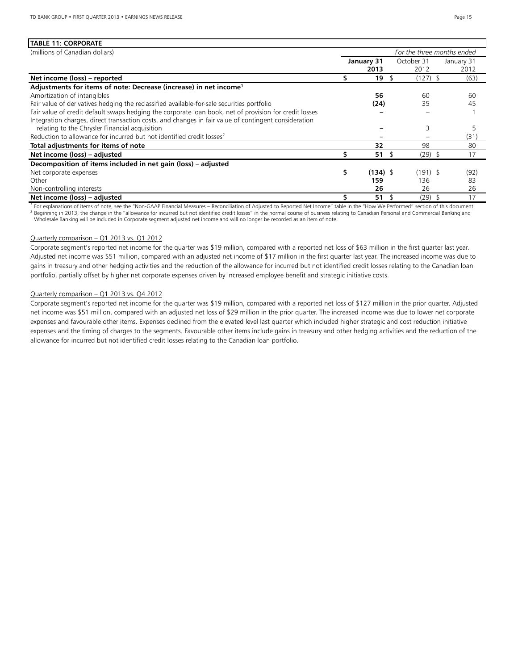| <b>TABLE 11: CORPORATE</b>                                                                             |                  |                            |            |            |  |  |  |
|--------------------------------------------------------------------------------------------------------|------------------|----------------------------|------------|------------|--|--|--|
| (millions of Canadian dollars)                                                                         |                  | For the three months ended |            |            |  |  |  |
|                                                                                                        | January 31       |                            | October 31 | January 31 |  |  |  |
|                                                                                                        | 2013             |                            | 2012       | 2012       |  |  |  |
| Net income (loss) – reported                                                                           | 19               |                            | $(127)$ \$ | (63)       |  |  |  |
| Adjustments for items of note: Decrease (increase) in net income <sup>1</sup>                          |                  |                            |            |            |  |  |  |
| Amortization of intangibles                                                                            | 56               |                            | 60         | 60         |  |  |  |
| Fair value of derivatives hedging the reclassified available-for-sale securities portfolio             | (24)             |                            | 35         | 45         |  |  |  |
| Fair value of credit default swaps hedging the corporate loan book, net of provision for credit losses |                  |                            |            |            |  |  |  |
| Integration charges, direct transaction costs, and changes in fair value of contingent consideration   |                  |                            |            |            |  |  |  |
| relating to the Chrysler Financial acquisition                                                         |                  |                            | 3          |            |  |  |  |
| Reduction to allowance for incurred but not identified credit losses <sup>2</sup>                      |                  |                            |            | (31)       |  |  |  |
| Total adjustments for items of note                                                                    | 32               |                            | 98         | 80         |  |  |  |
| Net income (loss) – adjusted                                                                           | 51               |                            | $(29)$ \$  | 17         |  |  |  |
| Decomposition of items included in net gain (loss) – adjusted                                          |                  |                            |            |            |  |  |  |
| Net corporate expenses                                                                                 | \$<br>$(134)$ \$ |                            | $(191)$ \$ | (92)       |  |  |  |
| Other                                                                                                  | 159              |                            | 136        | 83         |  |  |  |
| Non-controlling interests                                                                              | 26               |                            | 26         | 26         |  |  |  |
| Net income (loss) – adjusted                                                                           | 51               |                            | $(29)$ \$  | 17         |  |  |  |

For explanations of items of note, see the "Non-GAAP Financial Measures - Reconciliation of Adjusted to Reported Net Income" table in the "How We Performed" section of this document. <sup>2</sup> Beginning in 2013, the change in the "allowance for incurred but not identified credit losses" in the normal course of business relating to Canadian Personal and Commercial Banking and Wholesale Banking will be included in Corporate segment adjusted net income and will no longer be recorded as an item of note.

# Quarterly comparison – Q1 2013 vs. Q1 2012

Corporate segment's reported net income for the quarter was \$19 million, compared with a reported net loss of \$63 million in the first quarter last year. Adjusted net income was \$51 million, compared with an adjusted net income of \$17 million in the first quarter last year. The increased income was due to gains in treasury and other hedging activities and the reduction of the allowance for incurred but not identified credit losses relating to the Canadian loan portfolio, partially offset by higher net corporate expenses driven by increased employee benefit and strategic initiative costs.

### Quarterly comparison – Q1 2013 vs. Q4 2012

Corporate segment's reported net income for the quarter was \$19 million, compared with a reported net loss of \$127 million in the prior quarter. Adjusted net income was \$51 million, compared with an adjusted net loss of \$29 million in the prior quarter. The increased income was due to lower net corporate expenses and favourable other items. Expenses declined from the elevated level last quarter which included higher strategic and cost reduction initiative expenses and the timing of charges to the segments. Favourable other items include gains in treasury and other hedging activities and the reduction of the allowance for incurred but not identified credit losses relating to the Canadian loan portfolio.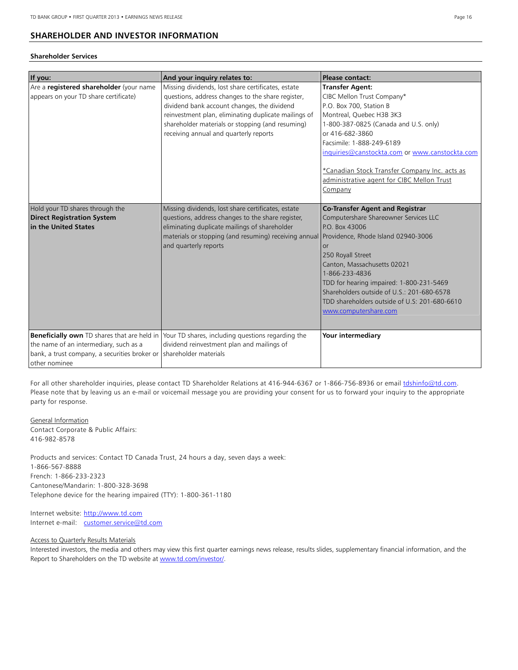# **SHAREHOLDER AND INVESTOR INFORMATION**

# **Shareholder Services**

| If you:                                                                                                                                                        | And your inquiry relates to:                                                                                                                                                                                                                                                                                 | Please contact:                                                                                                                                                                                                                                                                                                                                                  |
|----------------------------------------------------------------------------------------------------------------------------------------------------------------|--------------------------------------------------------------------------------------------------------------------------------------------------------------------------------------------------------------------------------------------------------------------------------------------------------------|------------------------------------------------------------------------------------------------------------------------------------------------------------------------------------------------------------------------------------------------------------------------------------------------------------------------------------------------------------------|
| Are a registered shareholder (your name<br>appears on your TD share certificate)                                                                               | Missing dividends, lost share certificates, estate<br>questions, address changes to the share register,<br>dividend bank account changes, the dividend<br>reinvestment plan, eliminating duplicate mailings of<br>shareholder materials or stopping (and resuming)<br>receiving annual and quarterly reports | <b>Transfer Agent:</b><br>CIBC Mellon Trust Company*<br>P.O. Box 700, Station B<br>Montreal, Quebec H3B 3K3<br>1-800-387-0825 (Canada and U.S. only)<br>or 416-682-3860<br>Facsimile: 1-888-249-6189<br>inquiries@canstockta.com or www.canstockta.com<br>*Canadian Stock Transfer Company Inc. acts as<br>administrative agent for CIBC Mellon Trust<br>Company |
| Hold your TD shares through the<br><b>Direct Registration System</b><br>in the United States                                                                   | Missing dividends, lost share certificates, estate<br>questions, address changes to the share register,<br>eliminating duplicate mailings of shareholder<br>materials or stopping (and resuming) receiving annual Providence, Rhode Island 02940-3006<br>and quarterly reports                               | <b>Co-Transfer Agent and Registrar</b><br>Computershare Shareowner Services LLC<br>P.O. Box 43006<br>or<br>250 Royall Street<br>Canton, Massachusetts 02021<br>1-866-233-4836<br>TDD for hearing impaired: 1-800-231-5469<br>Shareholders outside of U.S.: 201-680-6578<br>TDD shareholders outside of U.S: 201-680-6610<br>www.computershare.com                |
| <b>Beneficially own</b> TD shares that are held in<br>the name of an intermediary, such as a<br>bank, a trust company, a securities broker or<br>other nominee | Your TD shares, including questions regarding the<br>dividend reinvestment plan and mailings of<br>shareholder materials                                                                                                                                                                                     | Your intermediary                                                                                                                                                                                                                                                                                                                                                |

For all other shareholder inquiries, please contact TD Shareholder Relations at 416-944-6367 or 1-866-756-8936 or email tdshinfo@td.com. Please note that by leaving us an e-mail or voicemail message you are providing your consent for us to forward your inquiry to the appropriate party for response.

General Information Contact Corporate & Public Affairs: 416-982-8578

Products and services: Contact TD Canada Trust, 24 hours a day, seven days a week: 1-866-567-8888 French: 1-866-233-2323 Cantonese/Mandarin: 1-800-328-3698 Telephone device for the hearing impaired (TTY): 1-800-361-1180

Internet website: http://www.td.com Internet e-mail: customer.service@td.com

# Access to Quarterly Results Materials

Interested investors, the media and others may view this first quarter earnings news release, results slides, supplementary financial information, and the Report to Shareholders on the TD website at www.td.com/investor/.